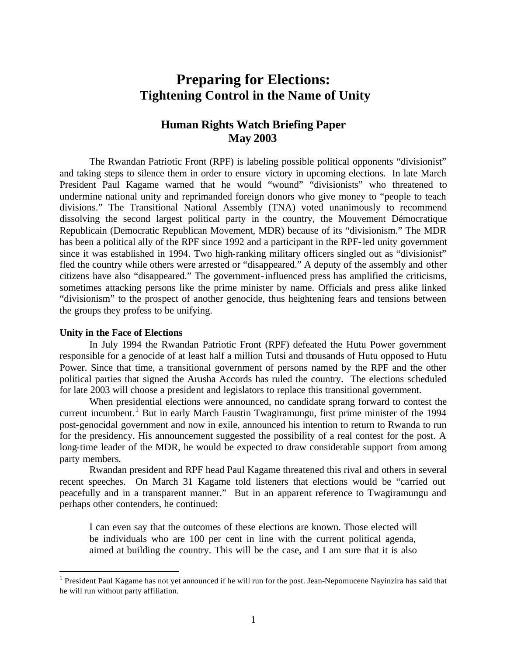# **Preparing for Elections: Tightening Control in the Name of Unity**

# **Human Rights Watch Briefing Paper May 2003**

The Rwandan Patriotic Front (RPF) is labeling possible political opponents "divisionist" and taking steps to silence them in order to ensure victory in upcoming elections. In late March President Paul Kagame warned that he would "wound" "divisionists" who threatened to undermine national unity and reprimanded foreign donors who give money to "people to teach divisions." The Transitional National Assembly (TNA) voted unanimously to recommend dissolving the second largest political party in the country, the Mouvement Démocratique Republicain (Democratic Republican Movement, MDR) because of its "divisionism." The MDR has been a political ally of the RPF since 1992 and a participant in the RPF-led unity government since it was established in 1994. Two high-ranking military officers singled out as "divisionist" fled the country while others were arrested or "disappeared." A deputy of the assembly and other citizens have also "disappeared." The government-influenced press has amplified the criticisms, sometimes attacking persons like the prime minister by name. Officials and press alike linked "divisionism" to the prospect of another genocide, thus heightening fears and tensions between the groups they profess to be unifying.

### **Unity in the Face of Elections**

1

In July 1994 the Rwandan Patriotic Front (RPF) defeated the Hutu Power government responsible for a genocide of at least half a million Tutsi and thousands of Hutu opposed to Hutu Power. Since that time, a transitional government of persons named by the RPF and the other political parties that signed the Arusha Accords has ruled the country. The elections scheduled for late 2003 will choose a president and legislators to replace this transitional government.

When presidential elections were announced, no candidate sprang forward to contest the current incumbent.<sup>1</sup> But in early March Faustin Twagiramungu, first prime minister of the 1994 post-genocidal government and now in exile, announced his intention to return to Rwanda to run for the presidency. His announcement suggested the possibility of a real contest for the post. A long-time leader of the MDR, he would be expected to draw considerable support from among party members.

Rwandan president and RPF head Paul Kagame threatened this rival and others in several recent speeches. On March 31 Kagame told listeners that elections would be "carried out peacefully and in a transparent manner." But in an apparent reference to Twagiramungu and perhaps other contenders, he continued:

I can even say that the outcomes of these elections are known. Those elected will be individuals who are 100 per cent in line with the current political agenda, aimed at building the country. This will be the case, and I am sure that it is also

<sup>&</sup>lt;sup>1</sup> President Paul Kagame has not yet announced if he will run for the post. Jean-Nepomucene Nayinzira has said that he will run without party affiliation.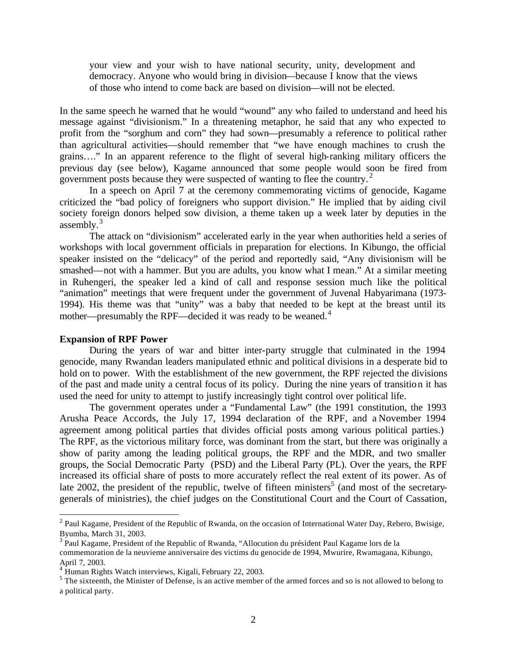your view and your wish to have national security, unity, development and democracy. Anyone who would bring in division—because I know that the views of those who intend to come back are based on division—will not be elected.

In the same speech he warned that he would "wound" any who failed to understand and heed his message against "divisionism." In a threatening metaphor, he said that any who expected to profit from the "sorghum and corn" they had sown—presumably a reference to political rather than agricultural activities—should remember that "we have enough machines to crush the grains…." In an apparent reference to the flight of several high-ranking military officers the previous day (see below), Kagame announced that some people would soon be fired from government posts because they were suspected of wanting to flee the country.<sup>2</sup>

In a speech on April 7 at the ceremony commemorating victims of genocide, Kagame criticized the "bad policy of foreigners who support division." He implied that by aiding civil society foreign donors helped sow division, a theme taken up a week later by deputies in the assembly. $3$ 

The attack on "divisionism" accelerated early in the year when authorities held a series of workshops with local government officials in preparation for elections. In Kibungo, the official speaker insisted on the "delicacy" of the period and reportedly said, "Any divisionism will be smashed—not with a hammer. But you are adults, you know what I mean." At a similar meeting in Ruhengeri, the speaker led a kind of call and response session much like the political "animation" meetings that were frequent under the government of Juvenal Habyarimana (1973- 1994). His theme was that "unity" was a baby that needed to be kept at the breast until its mother—presumably the RPF—decided it was ready to be weaned.<sup>4</sup>

#### **Expansion of RPF Power**

 $\overline{a}$ 

During the years of war and bitter inter-party struggle that culminated in the 1994 genocide, many Rwandan leaders manipulated ethnic and political divisions in a desperate bid to hold on to power. With the establishment of the new government, the RPF rejected the divisions of the past and made unity a central focus of its policy. During the nine years of transition it has used the need for unity to attempt to justify increasingly tight control over political life.

The government operates under a "Fundamental Law" (the 1991 constitution, the 1993 Arusha Peace Accords, the July 17, 1994 declaration of the RPF, and a November 1994 agreement among political parties that divides official posts among various political parties.) The RPF, as the victorious military force, was dominant from the start, but there was originally a show of parity among the leading political groups, the RPF and the MDR, and two smaller groups, the Social Democratic Party (PSD) and the Liberal Party (PL). Over the years, the RPF increased its official share of posts to more accurately reflect the real extent of its power. As of late 2002, the president of the republic, twelve of fifteen ministers<sup>5</sup> (and most of the secretarygenerals of ministries), the chief judges on the Constitutional Court and the Court of Cassation,

 $2$  Paul Kagame, President of the Republic of Rwanda, on the occasion of International Water Day, Rebero, Bwisige, Byumba, March 31, 2003.

<sup>&</sup>lt;sup>3</sup> Paul Kagame, President of the Republic of Rwanda, "Allocution du président Paul Kagame lors de la commemoration de la neuvieme anniversaire des victims du genocide de 1994, Mwurire, Rwamagana, Kibungo, April 7, 2003.

<sup>&</sup>lt;sup>4</sup> Human Rights Watch interviews, Kigali, February 22, 2003.

 $<sup>5</sup>$  The sixteenth, the Minister of Defense, is an active member of the armed forces and so is not allowed to belong to</sup> a political party.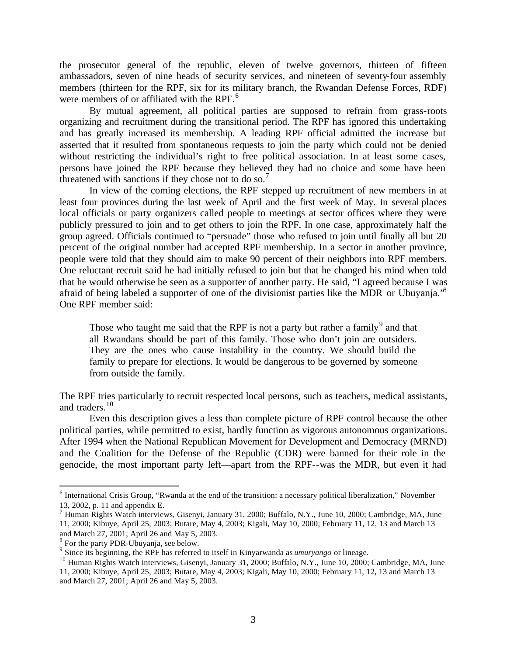the prosecutor general of the republic, eleven of twelve governors, thirteen of fifteen ambassadors, seven of nine heads of security services, and nineteen of seventy-four assembly members (thirteen for the RPF, six for its military branch, the Rwandan Defense Forces, RDF) were members of or affiliated with the RPF.<sup>6</sup>

By mutual agreement, all political parties are supposed to refrain from grass-roots organizing and recruitment during the transitional period. The RPF has ignored this undertaking and has greatly increased its membership. A leading RPF official admitted the increase but asserted that it resulted from spontaneous requests to join the party which could not be denied without restricting the individual's right to free political association. In at least some cases, persons have joined the RPF because they believed they had no choice and some have been threatened with sanctions if they chose not to do so.<sup>7</sup>

In view of the coming elections, the RPF stepped up recruitment of new members in at least four provinces during the last week of April and the first week of May. In several places local officials or party organizers called people to meetings at sector offices where they were publicly pressured to join and to get others to join the RPF. In one case, approximately half the group agreed. Officials continued to "persuade" those who refused to join until finally all but 20 percent of the original number had accepted RPF membership. In a sector in another province, people were told that they should aim to make 90 percent of their neighbors into RPF members. One reluctant recruit said he had initially refused to join but that he changed his mind when told that he would otherwise be seen as a supporter of another party. He said, "I agreed because I was afraid of being labeled a supporter of one of the divisionist parties like the MDR or Ubuyanja.<sup>8</sup> One RPF member said:

Those who taught me said that the RPF is not a party but rather a family<sup>9</sup> and that all Rwandans should be part of this family. Those who don't join are outsiders. They are the ones who cause instability in the country. We should build the family to prepare for elections. It would be dangerous to be governed by someone from outside the family.

The RPF tries particularly to recruit respected local persons, such as teachers, medical assistants, and traders.<sup>10</sup>

Even this description gives a less than complete picture of RPF control because the other political parties, while permitted to exist, hardly function as vigorous autonomous organizations. After 1994 when the National Republican Movement for Development and Democracy (MRND) and the Coalition for the Defense of the Republic (CDR) were banned for their role in the genocide, the most important party left—apart from the RPF--was the MDR, but even it had

<sup>&</sup>lt;sup>6</sup> International Crisis Group, "Rwanda at the end of the transition: a necessary political liberalization," November 13, 2002, p. 11 and appendix E.

<sup>&</sup>lt;sup>7</sup> Human Rights Watch interviews, Gisenyi, January 31, 2000; Buffalo, N.Y., June 10, 2000; Cambridge, MA, June 11, 2000; Kibuye, April 25, 2003; Butare, May 4, 2003; Kigali, May 10, 2000; February 11, 12, 13 and March 13 and March 27, 2001; April 26 and May 5, 2003.

<sup>&</sup>lt;sup>8</sup> For the party PDR-Ubuyanja, see below.

<sup>9</sup> Since its beginning, the RPF has referred to itself in Kinyarwanda as *umuryango* or lineage.

<sup>&</sup>lt;sup>10</sup> Human Rights Watch interviews, Gisenyi, January 31, 2000; Buffalo, N.Y., June 10, 2000; Cambridge, MA, June 11, 2000; Kibuye, April 25, 2003; Butare, May 4, 2003; Kigali, May 10, 2000; February 11, 12, 13 and March 13 and March 27, 2001; April 26 and May 5, 2003.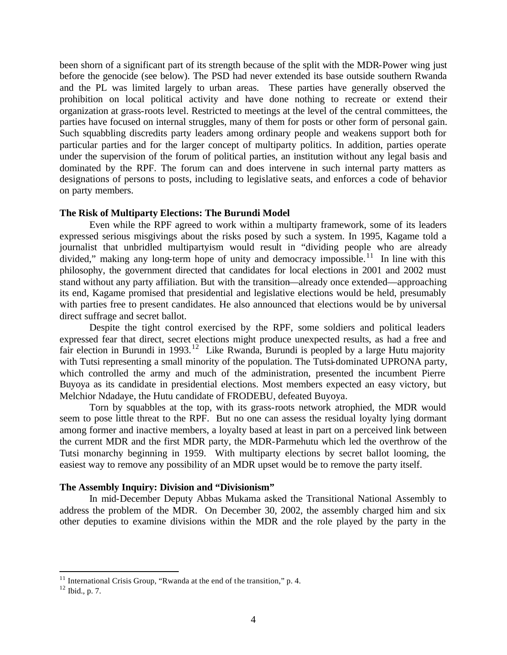been shorn of a significant part of its strength because of the split with the MDR-Power wing just before the genocide (see below). The PSD had never extended its base outside southern Rwanda and the PL was limited largely to urban areas. These parties have generally observed the prohibition on local political activity and have done nothing to recreate or extend their organization at grass-roots level. Restricted to meetings at the level of the central committees, the parties have focused on internal struggles, many of them for posts or other form of personal gain. Such squabbling discredits party leaders among ordinary people and weakens support both for particular parties and for the larger concept of multiparty politics. In addition, parties operate under the supervision of the forum of political parties, an institution without any legal basis and dominated by the RPF. The forum can and does intervene in such internal party matters as designations of persons to posts, including to legislative seats, and enforces a code of behavior on party members.

# **The Risk of Multiparty Elections: The Burundi Model**

Even while the RPF agreed to work within a multiparty framework, some of its leaders expressed serious misgivings about the risks posed by such a system. In 1995, Kagame told a journalist that unbridled multipartyism would result in "dividing people who are already divided," making any long-term hope of unity and democracy impossible.<sup>11</sup> In line with this philosophy, the government directed that candidates for local elections in 2001 and 2002 must stand without any party affiliation. But with the transition—already once extended—approaching its end, Kagame promised that presidential and legislative elections would be held, presumably with parties free to present candidates. He also announced that elections would be by universal direct suffrage and secret ballot.

Despite the tight control exercised by the RPF, some soldiers and political leaders expressed fear that direct, secret elections might produce unexpected results, as had a free and fair election in Burundi in 1993.<sup>12</sup> Like Rwanda, Burundi is peopled by a large Hutu majority with Tutsi representing a small minority of the population. The Tutsi-dominated UPRONA party, which controlled the army and much of the administration, presented the incumbent Pierre Buyoya as its candidate in presidential elections. Most members expected an easy victory, but Melchior Ndadaye, the Hutu candidate of FRODEBU, defeated Buyoya.

Torn by squabbles at the top, with its grass-roots network atrophied, the MDR would seem to pose little threat to the RPF. But no one can assess the residual loyalty lying dormant among former and inactive members, a loyalty based at least in part on a perceived link between the current MDR and the first MDR party, the MDR-Parmehutu which led the overthrow of the Tutsi monarchy beginning in 1959. With multiparty elections by secret ballot looming, the easiest way to remove any possibility of an MDR upset would be to remove the party itself.

# **The Assembly Inquiry: Division and "Divisionism"**

In mid-December Deputy Abbas Mukama asked the Transitional National Assembly to address the problem of the MDR. On December 30, 2002, the assembly charged him and six other deputies to examine divisions within the MDR and the role played by the party in the

 $11$  International Crisis Group, "Rwanda at the end of the transition," p. 4.

<sup>12</sup> Ibid., p. 7.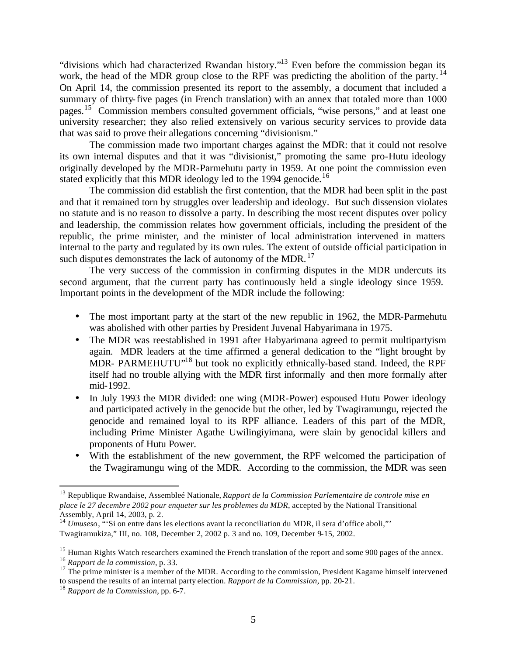"divisions which had characterized Rwandan history."<sup>13</sup> Even before the commission began its work, the head of the MDR group close to the RPF was predicting the abolition of the party.<sup>14</sup> On April 14, the commission presented its report to the assembly, a document that included a summary of thirty-five pages (in French translation) with an annex that totaled more than 1000 pages.<sup>15</sup> Commission members consulted government officials, "wise persons," and at least one university researcher; they also relied extensively on various security services to provide data that was said to prove their allegations concerning "divisionism."

The commission made two important charges against the MDR: that it could not resolve its own internal disputes and that it was "divisionist," promoting the same pro-Hutu ideology originally developed by the MDR-Parmehutu party in 1959. At one point the commission even stated explicitly that this MDR ideology led to the 1994 genocide.<sup>16</sup>

The commission did establish the first contention, that the MDR had been split in the past and that it remained torn by struggles over leadership and ideology. But such dissension violates no statute and is no reason to dissolve a party. In describing the most recent disputes over policy and leadership, the commission relates how government officials, including the president of the republic, the prime minister, and the minister of local administration intervened in matters internal to the party and regulated by its own rules. The extent of outside official participation in such disputes demonstrates the lack of autonomy of the MDR.  $^{17}$ 

The very success of the commission in confirming disputes in the MDR undercuts its second argument, that the current party has continuously held a single ideology since 1959. Important points in the development of the MDR include the following:

- The most important party at the start of the new republic in 1962, the MDR-Parmehutu was abolished with other parties by President Juvenal Habyarimana in 1975.
- The MDR was reestablished in 1991 after Habyarimana agreed to permit multipartyism again. MDR leaders at the time affirmed a general dedication to the "light brought by MDR- PARMEHUTU"<sup>18</sup> but took no explicitly ethnically-based stand. Indeed, the RPF itself had no trouble allying with the MDR first informally and then more formally after mid-1992.
- In July 1993 the MDR divided: one wing (MDR-Power) espoused Hutu Power ideology and participated actively in the genocide but the other, led by Twagiramungu, rejected the genocide and remained loyal to its RPF allianc e. Leaders of this part of the MDR, including Prime Minister Agathe Uwilingiyimana, were slain by genocidal killers and proponents of Hutu Power.
- With the establishment of the new government, the RPF welcomed the participation of the Twagiramungu wing of the MDR. According to the commission, the MDR was seen

<sup>13</sup> Republique Rwandaise, Assembleé Nationale, *Rapport de la Commission Parlementaire de controle mise en place le 27 decembre 2002 pour enqueter sur les problemes du MDR*, accepted by the National Transitional Assembly, April 14, 2003, p. 2.

<sup>14</sup> *Umuseso*, "'Si on entre dans les elections avant la reconciliation du MDR, il sera d'office aboli,"' Twagiramukiza," III, no. 108, December 2, 2002 p. 3 and no. 109, December 9-15, 2002.

<sup>&</sup>lt;sup>15</sup> Human Rights Watch researchers examined the French translation of the report and some 900 pages of the annex.

<sup>16</sup> *Rapport de la commission*, p. 33.

<sup>&</sup>lt;sup>17</sup> The prime minister is a member of the MDR. According to the commission, President Kagame himself intervened to suspend the results of an internal party election. *Rapport de la Commission*, pp. 20-21.

<sup>18</sup> *Rapport de la Commission*, pp. 6-7.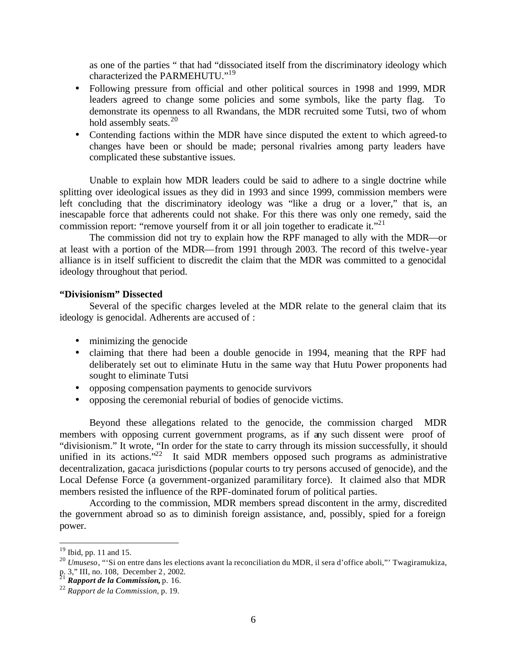as one of the parties " that had "dissociated itself from the discriminatory ideology which characterized the PARMEHUTU."<sup>19</sup>

- Following pressure from official and other political sources in 1998 and 1999, MDR leaders agreed to change some policies and some symbols, like the party flag. To demonstrate its openness to all Rwandans, the MDR recruited some Tutsi, two of whom hold assembly seats. $20$
- Contending factions within the MDR have since disputed the extent to which agreed-to changes have been or should be made; personal rivalries among party leaders have complicated these substantive issues.

Unable to explain how MDR leaders could be said to adhere to a single doctrine while splitting over ideological issues as they did in 1993 and since 1999, commission members were left concluding that the discriminatory ideology was "like a drug or a lover," that is, an inescapable force that adherents could not shake. For this there was only one remedy, said the commission report: "remove yourself from it or all join together to eradicate it."<sup>21</sup>

The commission did not try to explain how the RPF managed to ally with the MDR—or at least with a portion of the MDR—from 1991 through 2003. The record of this twelve-year alliance is in itself sufficient to discredit the claim that the MDR was committed to a genocidal ideology throughout that period.

# **"Divisionism" Dissected**

Several of the specific charges leveled at the MDR relate to the general claim that its ideology is genocidal. Adherents are accused of :

- minimizing the genocide
- claiming that there had been a double genocide in 1994, meaning that the RPF had deliberately set out to eliminate Hutu in the same way that Hutu Power proponents had sought to eliminate Tutsi
- opposing compensation payments to genocide survivors
- opposing the ceremonial reburial of bodies of genocide victims.

Beyond these allegations related to the genocide, the commission charged MDR members with opposing current government programs, as if any such dissent were proof of "divisionism." It wrote, "In order for the state to carry through its mission successfully, it should unified in its actions."<sup>22</sup> It said MDR members opposed such programs as administrative decentralization, gacaca jurisdictions (popular courts to try persons accused of genocide), and the Local Defense Force (a government-organized paramilitary force). It claimed also that MDR members resisted the influence of the RPF-dominated forum of political parties.

According to the commission, MDR members spread discontent in the army, discredited the government abroad so as to diminish foreign assistance, and, possibly, spied for a foreign power.

 $19$  Ibid, pp. 11 and 15.

<sup>20</sup> *Umuseso*, "'Si on entre dans les elections avant la reconciliation du MDR, il sera d'office aboli,"' Twagiramukiza, p. 3," III, no. 108, December 2, 2002.

<sup>21</sup> *Rapport de la Commission***,** p. 16.

<sup>22</sup> *Rapport de la Commission*, p. 19.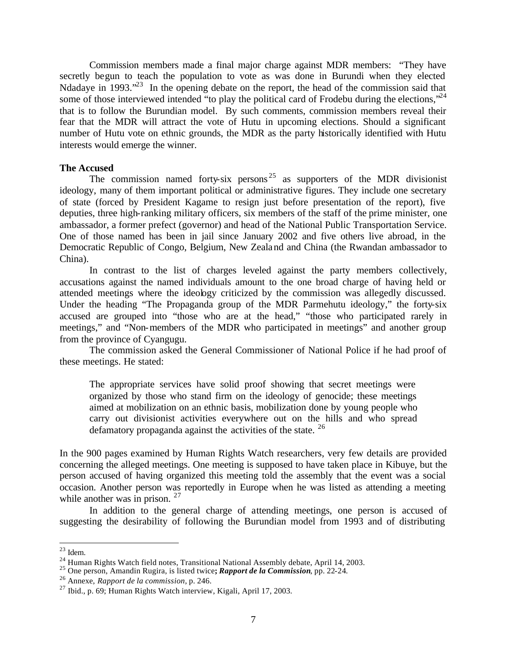Commission members made a final major charge against MDR members: "They have secretly begun to teach the population to vote as was done in Burundi when they elected Ndadaye in 1993.<sup>"23</sup> In the opening debate on the report, the head of the commission said that some of those interviewed intended "to play the political card of Frodebu during the elections,"<sup>24</sup> that is to follow the Burundian model. By such comments, commission members reveal their fear that the MDR will attract the vote of Hutu in upcoming elections. Should a significant number of Hutu vote on ethnic grounds, the MDR as the party historically identified with Hutu interests would emerge the winner.

#### **The Accused**

The commission named forty-six persons<sup>25</sup> as supporters of the MDR divisionist ideology, many of them important political or administrative figures. They include one secretary of state (forced by President Kagame to resign just before presentation of the report), five deputies, three high-ranking military officers, six members of the staff of the prime minister, one ambassador, a former prefect (governor) and head of the National Public Transportation Service. One of those named has been in jail since January 2002 and five others live abroad, in the Democratic Republic of Congo, Belgium, New Zealand and China (the Rwandan ambassador to China).

In contrast to the list of charges leveled against the party members collectively, accusations against the named individuals amount to the one broad charge of having held or attended meetings where the ideology criticized by the commission was allegedly discussed. Under the heading "The Propaganda group of the MDR Parmehutu ideology," the forty-six accused are grouped into "those who are at the head," "those who participated rarely in meetings," and "Non-members of the MDR who participated in meetings" and another group from the province of Cyangugu.

The commission asked the General Commissioner of National Police if he had proof of these meetings. He stated:

The appropriate services have solid proof showing that secret meetings were organized by those who stand firm on the ideology of genocide; these meetings aimed at mobilization on an ethnic basis, mobilization done by young people who carry out divisionist activities everywhere out on the hills and who spread defamatory propaganda against the activities of the state.  $26$ 

In the 900 pages examined by Human Rights Watch researchers, very few details are provided concerning the alleged meetings. One meeting is supposed to have taken place in Kibuye, but the person accused of having organized this meeting told the assembly that the event was a social occasion. Another person was reportedly in Europe when he was listed as attending a meeting while another was in prison.  $27$ 

In addition to the general charge of attending meetings, one person is accused of suggesting the desirability of following the Burundian model from 1993 and of distributing

 $23$  Idem.

 $^{24}$  Human Rights Watch field notes, Transitional National Assembly debate, April 14, 2003.

<sup>25</sup> One person, Amandin Rugira, is listed twice**;** *Rapport de la Commission*, pp. 22-24.

<sup>26</sup> Annexe, *Rapport de la commission*, p. 246.

 $^{27}$  Ibid., p. 69; Human Rights Watch interview, Kigali, April 17, 2003.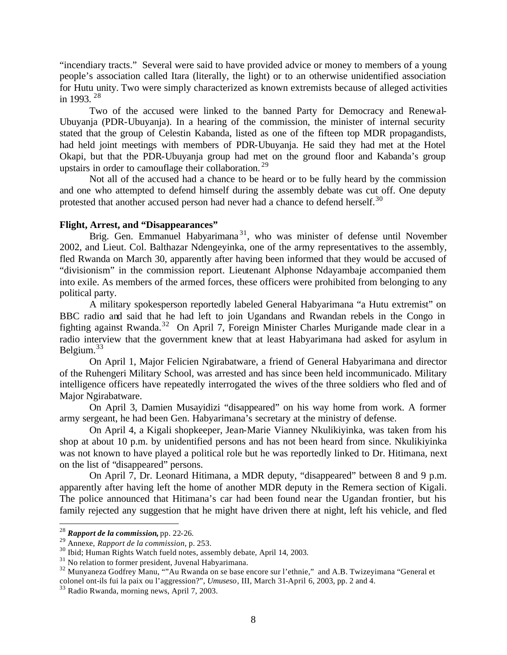"incendiary tracts." Several were said to have provided advice or money to members of a young people's association called Itara (literally, the light) or to an otherwise unidentified association for Hutu unity. Two were simply characterized as known extremists because of alleged activities in 1993. <sup>28</sup>

Two of the accused were linked to the banned Party for Democracy and Renewal-Ubuyanja (PDR-Ubuyanja). In a hearing of the commission, the minister of internal security stated that the group of Celestin Kabanda, listed as one of the fifteen top MDR propagandists, had held joint meetings with members of PDR-Ubuyanja. He said they had met at the Hotel Okapi, but that the PDR-Ubuyanja group had met on the ground floor and Kabanda's group upstairs in order to camouflage their collaboration.<sup>29</sup>

Not all of the accused had a chance to be heard or to be fully heard by the commission and one who attempted to defend himself during the assembly debate was cut off. One deputy protested that another accused person had never had a chance to defend herself.<sup>30</sup>

# **Flight, Arrest, and "Disappearances"**

Brig. Gen. Emmanuel Habyarimana<sup>31</sup>, who was minister of defense until November 2002, and Lieut. Col. Balthazar Ndengeyinka, one of the army representatives to the assembly, fled Rwanda on March 30, apparently after having been informed that they would be accused of "divisionism" in the commission report. Lieutenant Alphonse Ndayambaje accompanied them into exile. As members of the armed forces, these officers were prohibited from belonging to any political party.

A military spokesperson reportedly labeled General Habyarimana "a Hutu extremist" on BBC radio and said that he had left to join Ugandans and Rwandan rebels in the Congo in fighting against Rwanda.<sup>32</sup> On April 7, Foreign Minister Charles Murigande made clear in a radio interview that the government knew that at least Habyarimana had asked for asylum in Belgium. $33$ 

On April 1, Major Felicien Ngirabatware, a friend of General Habyarimana and director of the Ruhengeri Military School, was arrested and has since been held incommunicado. Military intelligence officers have repeatedly interrogated the wives of the three soldiers who fled and of Major Ngirabatware.

On April 3, Damien Musayidizi "disappeared" on his way home from work. A former army sergeant, he had been Gen. Habyarimana's secretary at the ministry of defense.

On April 4, a Kigali shopkeeper, Jean-Marie Vianney Nkulikiyinka, was taken from his shop at about 10 p.m. by unidentified persons and has not been heard from since. Nkulikiyinka was not known to have played a political role but he was reportedly linked to Dr. Hitimana, next on the list of "disappeared" persons.

On April 7, Dr. Leonard Hitimana, a MDR deputy, "disappeared" between 8 and 9 p.m. apparently after having left the home of another MDR deputy in the Remera section of Kigali. The police announced that Hitimana's car had been found near the Ugandan frontier, but his family rejected any suggestion that he might have driven there at night, left his vehicle, and fled

<sup>28</sup> *Rapport de la commission***,** pp. 22-26.

<sup>29</sup> Annexe, *Rapport de la commission,* p. 253.

<sup>&</sup>lt;sup>30</sup> Ibid; Human Rights Watch fueld notes, assembly debate, April 14, 2003.

 $31$  No relation to former president, Juvenal Habyarimana.

<sup>&</sup>lt;sup>32</sup> Munyaneza Godfrey Manu, ""Au Rwanda on se base encore sur l'ethnie," and A.B. Twizeyimana "General et colonel ont-ils fui la paix ou l'aggression?", *Umuseso*, III, March 31-April 6, 2003, pp. 2 and 4.

<sup>33</sup> Radio Rwanda, morning news, April 7, 2003.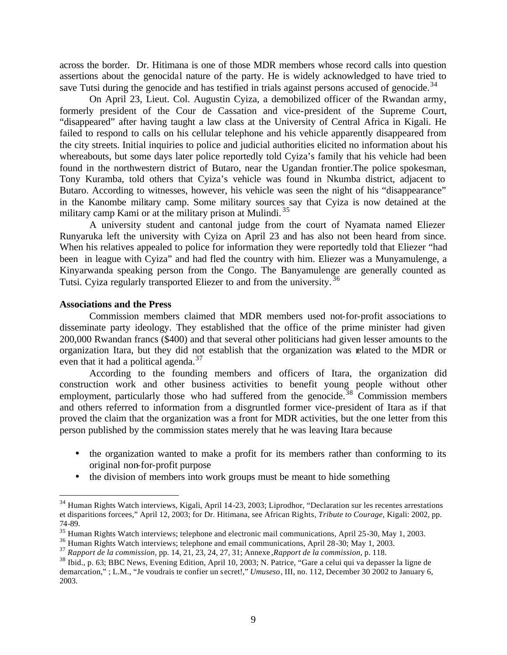across the border. Dr. Hitimana is one of those MDR members whose record calls into question assertions about the genocidal nature of the party. He is widely acknowledged to have tried to save Tutsi during the genocide and has testified in trials against persons accused of genocide.<sup>34</sup>

On April 23, Lieut. Col. Augustin Cyiza, a demobilized officer of the Rwandan army, formerly president of the Cour de Cassation and vice-president of the Supreme Court, "disappeared" after having taught a law class at the University of Central Africa in Kigali. He failed to respond to calls on his cellular telephone and his vehicle apparently disappeared from the city streets. Initial inquiries to police and judicial authorities elicited no information about his whereabouts, but some days later police reportedly told Cyiza's family that his vehicle had been found in the northwestern district of Butaro, near the Ugandan frontier.The police spokesman, Tony Kuramba, told others that Cyiza's vehicle was found in Nkumba district, adjacent to Butaro. According to witnesses, however, his vehicle was seen the night of his "disappearance" in the Kanombe military camp. Some military sources say that Cyiza is now detained at the military camp Kami or at the military prison at Mulindi.<sup>35</sup>

A university student and cantonal judge from the court of Nyamata named Eliezer Runyaruka left the university with Cyiza on April 23 and has also not been heard from since. When his relatives appealed to police for information they were reportedly told that Eliezer "had been in league with Cyiza" and had fled the country with him. Eliezer was a Munyamulenge, a Kinyarwanda speaking person from the Congo. The Banyamulenge are generally counted as Tutsi. Cyiza regularly transported Eliezer to and from the university. <sup>36</sup>

#### **Associations and the Press**

 $\overline{a}$ 

Commission members claimed that MDR members used not-for-profit associations to disseminate party ideology. They established that the office of the prime minister had given 200,000 Rwandan francs (\$400) and that several other politicians had given lesser amounts to the organization Itara, but they did not establish that the organization was related to the MDR or even that it had a political agenda. $37$ 

According to the founding members and officers of Itara, the organization did construction work and other business activities to benefit young people without other employment, particularly those who had suffered from the genocide.<sup>38</sup> Commission members and others referred to information from a disgruntled former vice-president of Itara as if that proved the claim that the organization was a front for MDR activities, but the one letter from this person published by the commission states merely that he was leaving Itara because

- the organization wanted to make a profit for its members rather than conforming to its original non-for-profit purpose
- the division of members into work groups must be meant to hide something

<sup>&</sup>lt;sup>34</sup> Human Rights Watch interviews, Kigali, April 14-23, 2003; Liprodhor, "Declaration sur les recentes arrestations et disparitions forcees," April 12, 2003; for Dr. Hitimana, see African Rights, *Tribute to Courage,* Kigali: 2002, pp. 74-89.

<sup>&</sup>lt;sup>35</sup> Human Rights Watch interviews; telephone and electronic mail communications, April 25-30, May 1, 2003.

<sup>36</sup> Human Rights Watch interviews; telephone and email communications, April 28-30; May 1, 2003.

<sup>37</sup> *Rapport de la commission,* pp. 14, 21, 23, 24, 27, 31; Annexe *,Rapport de la commission,* p. 118.

<sup>38</sup> Ibid., p. 63; BBC News, Evening Edition, April 10, 2003; N. Patrice, "Gare a celui qui va depasser la ligne de demarcation," ; L.M., "Je voudrais te confier un secret!," *Umuseso*, III, no. 112, December 30 2002 to January 6, 2003.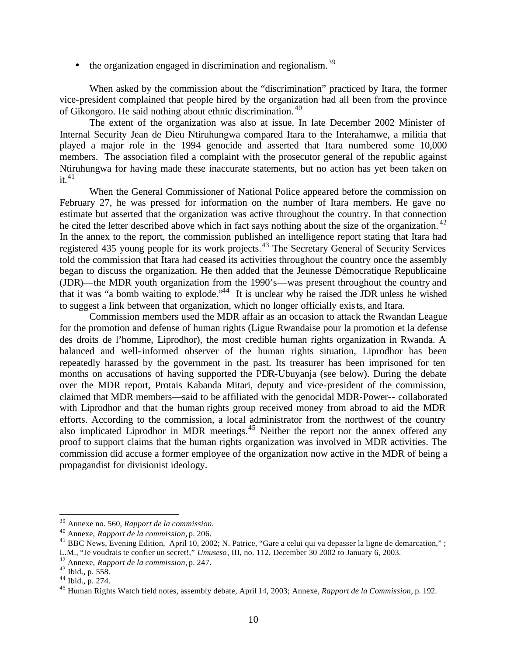$\bullet$  the organization engaged in discrimination and regionalism.<sup>39</sup>

When asked by the commission about the "discrimination" practiced by Itara, the former vice-president complained that people hired by the organization had all been from the province of Gikongoro. He said nothing about ethnic discrimination. <sup>40</sup>

The extent of the organization was also at issue. In late December 2002 Minister of Internal Security Jean de Dieu Ntiruhungwa compared Itara to the Interahamwe, a militia that played a major role in the 1994 genocide and asserted that Itara numbered some 10,000 members. The association filed a complaint with the prosecutor general of the republic against Ntiruhungwa for having made these inaccurate statements, but no action has yet been taken on it.  $41$ 

When the General Commissioner of National Police appeared before the commission on February 27, he was pressed for information on the number of Itara members. He gave no estimate but asserted that the organization was active throughout the country. In that connection he cited the letter described above which in fact says nothing about the size of the organization.<sup>42</sup> In the annex to the report, the commission published an intelligence report stating that Itara had registered 435 young people for its work projects.<sup>43</sup> The Secretary General of Security Services told the commission that Itara had ceased its activities throughout the country once the assembly began to discuss the organization. He then added that the Jeunesse Démocratique Republicaine (JDR)—the MDR youth organization from the 1990's—was present throughout the country and that it was "a bomb waiting to explode."<sup>44</sup> It is unclear why he raised the JDR unless he wished to suggest a link between that organization, which no longer officially exists, and Itara.

Commission members used the MDR affair as an occasion to attack the Rwandan League for the promotion and defense of human rights (Ligue Rwandaise pour la promotion et la defense des droits de l'homme, Liprodhor), the most credible human rights organization in Rwanda. A balanced and well-informed observer of the human rights situation, Liprodhor has been repeatedly harassed by the government in the past. Its treasurer has been imprisoned for ten months on accusations of having supported the PDR-Ubuyanja (see below). During the debate over the MDR report, Protais Kabanda Mitari, deputy and vice-president of the commission, claimed that MDR members—said to be affiliated with the genocidal MDR-Power-- collaborated with Liprodhor and that the human rights group received money from abroad to aid the MDR efforts. According to the commission, a local administrator from the northwest of the country also implicated Liprodhor in MDR meetings. $45$  Neither the report nor the annex offered any proof to support claims that the human rights organization was involved in MDR activities. The commission did accuse a former employee of the organization now active in the MDR of being a propagandist for divisionist ideology.

<sup>39</sup> Annexe no. 560, *Rapport de la commission.*

<sup>40</sup> Annexe, *Rapport de la commission,* p. 206.

<sup>&</sup>lt;sup>41</sup> BBC News, Evening Edition, April 10, 2002; N. Patrice, "Gare a celui qui va depasser la ligne de demarcation," ;

L.M., "Je voudrais te confier un secret!," *Umuseso*, III, no. 112, December 30 2002 to January 6, 2003.

<sup>42</sup> Annexe, *Rapport de la commission,* p. 247.

<sup>43</sup> Ibid., p. 558.

 $44$  Ibid., p. 274.

<sup>45</sup> Human Rights Watch field notes, assembly debate, April 14, 2003; Annexe, *Rapport de la Commission*, p. 192.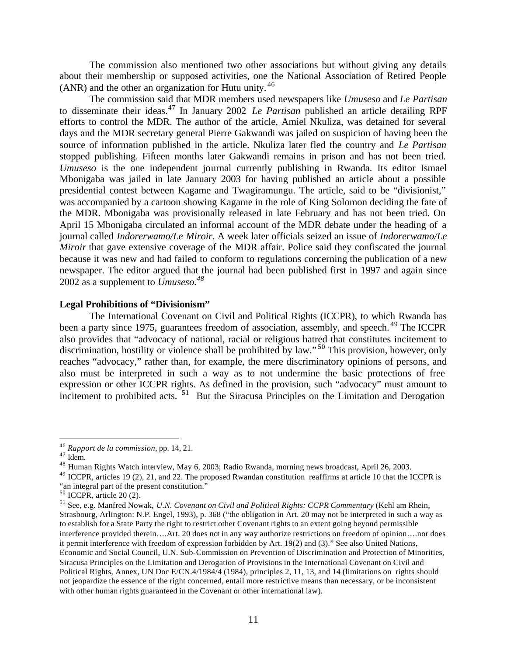The commission also mentioned two other associations but without giving any details about their membership or supposed activities, one the National Association of Retired People (ANR) and the other an organization for Hutu unity. <sup>46</sup>

The commission said that MDR members used newspapers like *Umuseso* and *Le Partisan*  to disseminate their ideas.<sup>47</sup> In January 2002 *Le Partisan* published an article detailing RPF efforts to control the MDR. The author of the article, Amiel Nkuliza, was detained for several days and the MDR secretary general Pierre Gakwandi was jailed on suspicion of having been the source of information published in the article. Nkuliza later fled the country and *Le Partisan* stopped publishing. Fifteen months later Gakwandi remains in prison and has not been tried. *Umuseso* is the one independent journal currently publishing in Rwanda. Its editor Ismael Mbonigaba was jailed in late January 2003 for having published an article about a possible presidential contest between Kagame and Twagiramungu. The article, said to be "divisionist," was accompanied by a cartoon showing Kagame in the role of King Solomon deciding the fate of the MDR. Mbonigaba was provisionally released in late February and has not been tried. On April 15 Mbonigaba circulated an informal account of the MDR debate under the heading of a journal called *Indorerwamo/Le Miroir*. A week later officials seized an issue of *Indorerwamo/Le Miroir* that gave extensive coverage of the MDR affair. Police said they confiscated the journal because it was new and had failed to conform to regulations concerning the publication of a new newspaper. The editor argued that the journal had been published first in 1997 and again since 2002 as a supplement to *Umuseso.<sup>48</sup>*

#### **Legal Prohibitions of "Divisionism"**

The International Covenant on Civil and Political Rights (ICCPR), to which Rwanda has been a party since 1975, guarantees freedom of association, assembly, and speech.<sup>49</sup> The ICCPR also provides that "advocacy of national, racial or religious hatred that constitutes incitement to discrimination, hostility or violence shall be prohibited by law."<sup>50</sup> This provision, however, only reaches "advocacy," rather than, for example, the mere discriminatory opinions of persons, and also must be interpreted in such a way as to not undermine the basic protections of free expression or other ICCPR rights. As defined in the provision, such "advocacy" must amount to incitement to prohibited acts. <sup>51</sup> But the Siracusa Principles on the Limitation and Derogation

<sup>46</sup> *Rapport de la commission*, pp. 14, 21.

 $47$  Idem.

<sup>48</sup> Human Rights Watch interview, May 6, 2003; Radio Rwanda, morning news broadcast, April 26, 2003.

<sup>&</sup>lt;sup>49</sup> ICCPR, articles 19 (2), 21, and 22. The proposed Rwandan constitution reaffirms at article 10 that the ICCPR is "an integral part of the present constitution."

 $50$  ICCPR, article 20 (2).

<sup>51</sup> See, e.g. Manfred Nowak, *U.N. Covenant on Civil and Political Rights: CCPR Commentary* (Kehl am Rhein, Strasbourg, Arlington: N.P. Engel, 1993), p. 368 ("the obligation in Art. 20 may not be interpreted in such a way as to establish for a State Party the right to restrict other Covenant rights to an extent going beyond permissible interference provided therein….Art. 20 does not in any way authorize restrictions on freedom of opinion….nor does it permit interference with freedom of expression forbidden by Art. 19(2) and (3)." See also United Nations, Economic and Social Council, U.N. Sub-Commission on Prevention of Discrimination and Protection of Minorities, Siracusa Principles on the Limitation and Derogation of Provisions in the International Covenant on Civil and Political Rights, Annex, UN Doc E/CN.4/1984/4 (1984), principles 2, 11, 13, and 14 (limitations on rights should not jeopardize the essence of the right concerned, entail more restrictive means than necessary, or be inconsistent with other human rights guaranteed in the Covenant or other international law).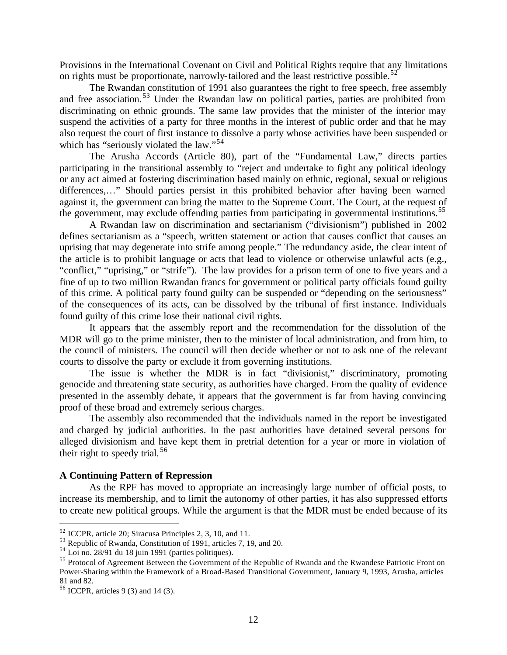Provisions in the International Covenant on Civil and Political Rights require that any limitations on rights must be proportionate, narrowly-tailored and the least restrictive possible.<sup>52</sup>

The Rwandan constitution of 1991 also guarantees the right to free speech, free assembly and free association. <sup>53</sup> Under the Rwandan law on political parties, parties are prohibited from discriminating on ethnic grounds. The same law provides that the minister of the interior may suspend the activities of a party for three months in the interest of public order and that he may also request the court of first instance to dissolve a party whose activities have been suspended or which has "seriously violated the law."<sup>54</sup>

The Arusha Accords (Article 80), part of the "Fundamental Law," directs parties participating in the transitional assembly to "reject and undertake to fight any political ideology or any act aimed at fostering discrimination based mainly on ethnic, regional, sexual or religious differences,…" Should parties persist in this prohibited behavior after having been warned against it, the government can bring the matter to the Supreme Court. The Court, at the request of the government, may exclude offending parties from participating in governmental institutions.<sup>55</sup>

A Rwandan law on discrimination and sectarianism ("divisionism") published in 2002 defines sectarianism as a "speech, written statement or action that causes conflict that causes an uprising that may degenerate into strife among people." The redundancy aside, the clear intent of the article is to prohibit language or acts that lead to violence or otherwise unlawful acts (e.g., "conflict," "uprising," or "strife"). The law provides for a prison term of one to five years and a fine of up to two million Rwandan francs for government or political party officials found guilty of this crime. A political party found guilty can be suspended or "depending on the seriousness" of the consequences of its acts, can be dissolved by the tribunal of first instance. Individuals found guilty of this crime lose their national civil rights.

It appears that the assembly report and the recommendation for the dissolution of the MDR will go to the prime minister, then to the minister of local administration, and from him, to the council of ministers. The council will then decide whether or not to ask one of the relevant courts to dissolve the party or exclude it from governing institutions.

The issue is whether the MDR is in fact "divisionist," discriminatory, promoting genocide and threatening state security, as authorities have charged. From the quality of evidence presented in the assembly debate, it appears that the government is far from having convincing proof of these broad and extremely serious charges.

The assembly also recommended that the individuals named in the report be investigated and charged by judicial authorities. In the past authorities have detained several persons for alleged divisionism and have kept them in pretrial detention for a year or more in violation of their right to speedy trial.  $56$ 

### **A Continuing Pattern of Repression**

As the RPF has moved to appropriate an increasingly large number of official posts, to increase its membership, and to limit the autonomy of other parties, it has also suppressed efforts to create new political groups. While the argument is that the MDR must be ended because of its

<sup>52</sup> ICCPR, article 20; Siracusa Principles 2, 3, 10, and 11.

<sup>53</sup> Republic of Rwanda, Constitution of 1991, articles 7, 19, and 20.

 $54$  Loi no. 28/91 du 18 juin 1991 (parties politiques).

<sup>&</sup>lt;sup>55</sup> Protocol of Agreement Between the Government of the Republic of Rwanda and the Rwandese Patriotic Front on Power-Sharing within the Framework of a Broad-Based Transitional Government, January 9, 1993, Arusha, articles 81 and 82.

<sup>56</sup> ICCPR, articles 9 (3) and 14 (3).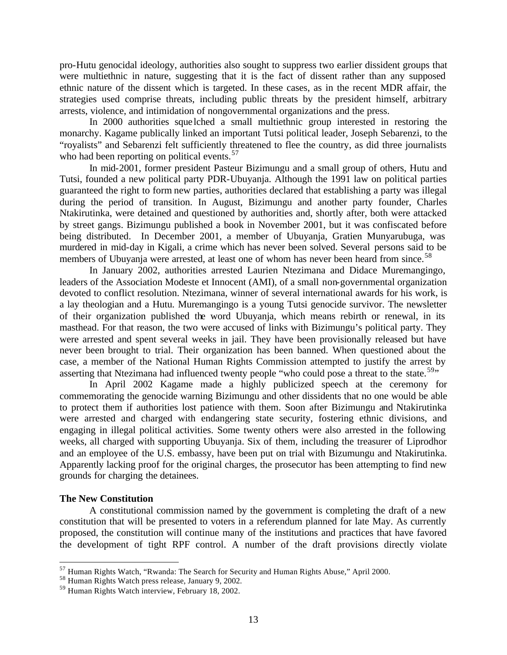pro-Hutu genocidal ideology, authorities also sought to suppress two earlier dissident groups that were multiethnic in nature, suggesting that it is the fact of dissent rather than any supposed ethnic nature of the dissent which is targeted. In these cases, as in the recent MDR affair, the strategies used comprise threats, including public threats by the president himself, arbitrary arrests, violence, and intimidation of nongovernmental organizations and the press.

In 2000 authorities sque lched a small multiethnic group interested in restoring the monarchy. Kagame publically linked an important Tutsi political leader, Joseph Sebarenzi, to the "royalists" and Sebarenzi felt sufficiently threatened to flee the country, as did three journalists who had been reporting on political events.<sup>57</sup>

In mid-2001, former president Pasteur Bizimungu and a small group of others, Hutu and Tutsi, founded a new political party PDR-Ubuyanja. Although the 1991 law on political parties guaranteed the right to form new parties, authorities declared that establishing a party was illegal during the period of transition. In August, Bizimungu and another party founder, Charles Ntakirutinka, were detained and questioned by authorities and, shortly after, both were attacked by street gangs. Bizimungu published a book in November 2001, but it was confiscated before being distributed. In December 2001, a member of Ubuyanja, Gratien Munyarubuga, was murdered in mid-day in Kigali, a crime which has never been solved. Several persons said to be members of Ubuyanja were arrested, at least one of whom has never been heard from since.<sup>58</sup>

In January 2002, authorities arrested Laurien Ntezimana and Didace Muremangingo, leaders of the Association Modeste et Innocent (AMI), of a small non-governmental organization devoted to conflict resolution. Ntezimana, winner of several international awards for his work, is a lay theologian and a Hutu. Muremangingo is a young Tutsi genocide survivor. The newsletter of their organization published the word Ubuyanja, which means rebirth or renewal, in its masthead. For that reason, the two were accused of links with Bizimungu's political party. They were arrested and spent several weeks in jail. They have been provisionally released but have never been brought to trial. Their organization has been banned. When questioned about the case, a member of the National Human Rights Commission attempted to justify the arrest by asserting that Ntezimana had influenced twenty people "who could pose a threat to the state.<sup>59</sup>"

In April 2002 Kagame made a highly publicized speech at the ceremony for commemorating the genocide warning Bizimungu and other dissidents that no one would be able to protect them if authorities lost patience with them. Soon after Bizimungu and Ntakirutinka were arrested and charged with endangering state security, fostering ethnic divisions, and engaging in illegal political activities. Some twenty others were also arrested in the following weeks, all charged with supporting Ubuyanja. Six of them, including the treasurer of Liprodhor and an employee of the U.S. embassy, have been put on trial with Bizumungu and Ntakirutinka. Apparently lacking proof for the original charges, the prosecutor has been attempting to find new grounds for charging the detainees.

# **The New Constitution**

 $\overline{a}$ 

A constitutional commission named by the government is completing the draft of a new constitution that will be presented to voters in a referendum planned for late May. As currently proposed, the constitution will continue many of the institutions and practices that have favored the development of tight RPF control. A number of the draft provisions directly violate

 $57$  Human Rights Watch, "Rwanda: The Search for Security and Human Rights Abuse," April 2000.

<sup>58</sup> Human Rights Watch press release, January 9, 2002.

<sup>59</sup> Human Rights Watch interview, February 18, 2002.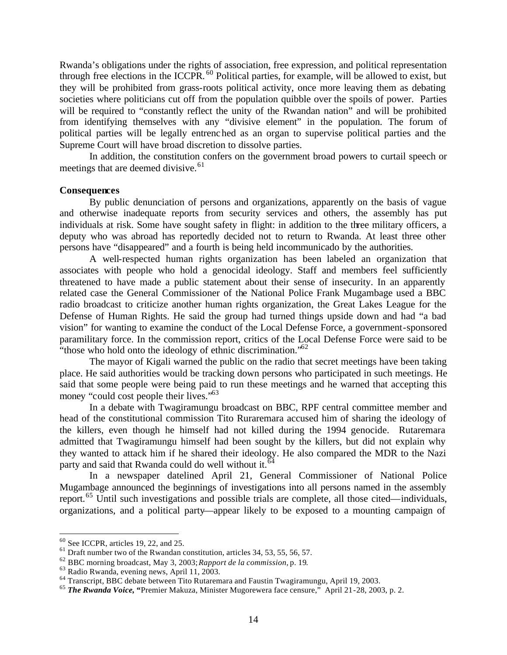Rwanda's obligations under the rights of association, free expression, and political representation through free elections in the ICCPR. <sup>60</sup> Political parties, for example, will be allowed to exist, but they will be prohibited from grass-roots political activity, once more leaving them as debating societies where politicians cut off from the population quibble over the spoils of power. Parties will be required to "constantly reflect the unity of the Rwandan nation" and will be prohibited from identifying themselves with any "divisive element" in the population. The forum of political parties will be legally entrenched as an organ to supervise political parties and the Supreme Court will have broad discretion to dissolve parties.

In addition, the constitution confers on the government broad powers to curtail speech or meetings that are deemed divisive.<sup>61</sup>

### **Consequences**

By public denunciation of persons and organizations, apparently on the basis of vague and otherwise inadequate reports from security services and others, the assembly has put individuals at risk. Some have sought safety in flight: in addition to the three military officers, a deputy who was abroad has reportedly decided not to return to Rwanda. At least three other persons have "disappeared" and a fourth is being held incommunicado by the authorities.

A well-respected human rights organization has been labeled an organization that associates with people who hold a genocidal ideology. Staff and members feel sufficiently threatened to have made a public statement about their sense of insecurity. In an apparently related case the General Commissioner of the National Police Frank Mugambage used a BBC radio broadcast to criticize another human rights organization, the Great Lakes League for the Defense of Human Rights. He said the group had turned things upside down and had "a bad vision" for wanting to examine the conduct of the Local Defense Force, a government-sponsored paramilitary force. In the commission report, critics of the Local Defense Force were said to be "those who hold onto the ideology of ethnic discrimination."<sup>62</sup>

The mayor of Kigali warned the public on the radio that secret meetings have been taking place. He said authorities would be tracking down persons who participated in such meetings. He said that some people were being paid to run these meetings and he warned that accepting this money "could cost people their lives."<sup>63</sup>

In a debate with Twagiramungu broadcast on BBC, RPF central committee member and head of the constitutional commission Tito Ruraremara accused him of sharing the ideology of the killers, even though he himself had not killed during the 1994 genocide. Rutaremara admitted that Twagiramungu himself had been sought by the killers, but did not explain why they wanted to attack him if he shared their ideology. He also compared the MDR to the Nazi party and said that Rwanda could do well without it.<sup>6</sup>

In a newspaper datelined April 21, General Commissioner of National Police Mugambage announced the beginnings of investigations into all persons named in the assembly report.<sup>65</sup> Until such investigations and possible trials are complete, all those cited—individuals, organizations, and a political party—appear likely to be exposed to a mounting campaign of

 $60$  See ICCPR, articles 19, 22, and 25.

<sup>&</sup>lt;sup>61</sup> Draft number two of the Rwandan constitution, articles 34, 53, 55, 56, 57.

<sup>62</sup> BBC morning broadcast, May 3, 2003; *Rapport de la commission,* p. 19.

<sup>63</sup> Radio Rwanda, evening news, April 11, 2003.

<sup>64</sup> Transcript, BBC debate between Tito Rutaremara and Faustin Twagiramungu, April 19, 2003.

<sup>65</sup> *The Rwanda Voice,* **"**Premier Makuza, Minister Mugorewera face censure," April 21-28, 2003, p. 2.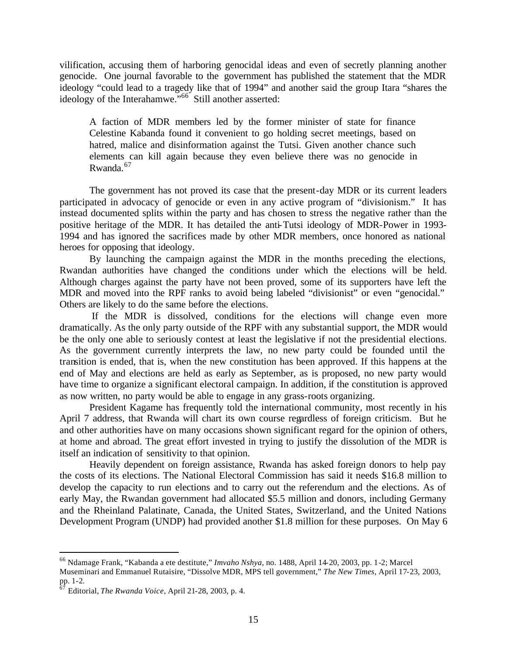vilification, accusing them of harboring genocidal ideas and even of secretly planning another genocide. One journal favorable to the government has published the statement that the MDR ideology "could lead to a tragedy like that of 1994" and another said the group Itara "shares the ideology of the Interahamwe.<sup>566</sup> Still another asserted:

A faction of MDR members led by the former minister of state for finance Celestine Kabanda found it convenient to go holding secret meetings, based on hatred, malice and disinformation against the Tutsi. Given another chance such elements can kill again because they even believe there was no genocide in Rwanda.<sup>67</sup>

The government has not proved its case that the present-day MDR or its current leaders participated in advocacy of genocide or even in any active program of "divisionism." It has instead documented splits within the party and has chosen to stress the negative rather than the positive heritage of the MDR. It has detailed the anti-Tutsi ideology of MDR-Power in 1993- 1994 and has ignored the sacrifices made by other MDR members, once honored as national heroes for opposing that ideology.

By launching the campaign against the MDR in the months preceding the elections, Rwandan authorities have changed the conditions under which the elections will be held. Although charges against the party have not been proved, some of its supporters have left the MDR and moved into the RPF ranks to avoid being labeled "divisionist" or even "genocidal." Others are likely to do the same before the elections.

 If the MDR is dissolved, conditions for the elections will change even more dramatically. As the only party outside of the RPF with any substantial support, the MDR would be the only one able to seriously contest at least the legislative if not the presidential elections. As the government currently interprets the law, no new party could be founded until the transition is ended, that is, when the new constitution has been approved. If this happens at the end of May and elections are held as early as September, as is proposed, no new party would have time to organize a significant electoral campaign. In addition, if the constitution is approved as now written, no party would be able to engage in any grass-roots organizing.

President Kagame has frequently told the international community, most recently in his April 7 address, that Rwanda will chart its own course regardless of foreign criticism. But he and other authorities have on many occasions shown significant regard for the opinion of others, at home and abroad. The great effort invested in trying to justify the dissolution of the MDR is itself an indication of sensitivity to that opinion.

Heavily dependent on foreign assistance, Rwanda has asked foreign donors to help pay the costs of its elections. The National Electoral Commission has said it needs \$16.8 million to develop the capacity to run elections and to carry out the referendum and the elections. As of early May, the Rwandan government had allocated \$5.5 million and donors, including Germany and the Rheinland Palatinate, Canada, the United States, Switzerland, and the United Nations Development Program (UNDP) had provided another \$1.8 million for these purposes. On May 6

<sup>66</sup> Ndamage Frank, "Kabanda a ete destitute," *Imvaho Nshya*, no. 1488, April 14-20, 2003, pp. 1-2; Marcel

Museminari and Emmanuel Rutaisire, "Dissolve MDR, MPS tell government," *The New Times,* April 17-23, 2003, pp. 1-2.

<sup>67</sup> Editorial, *The Rwanda Voice*, April 21-28, 2003, p. 4.